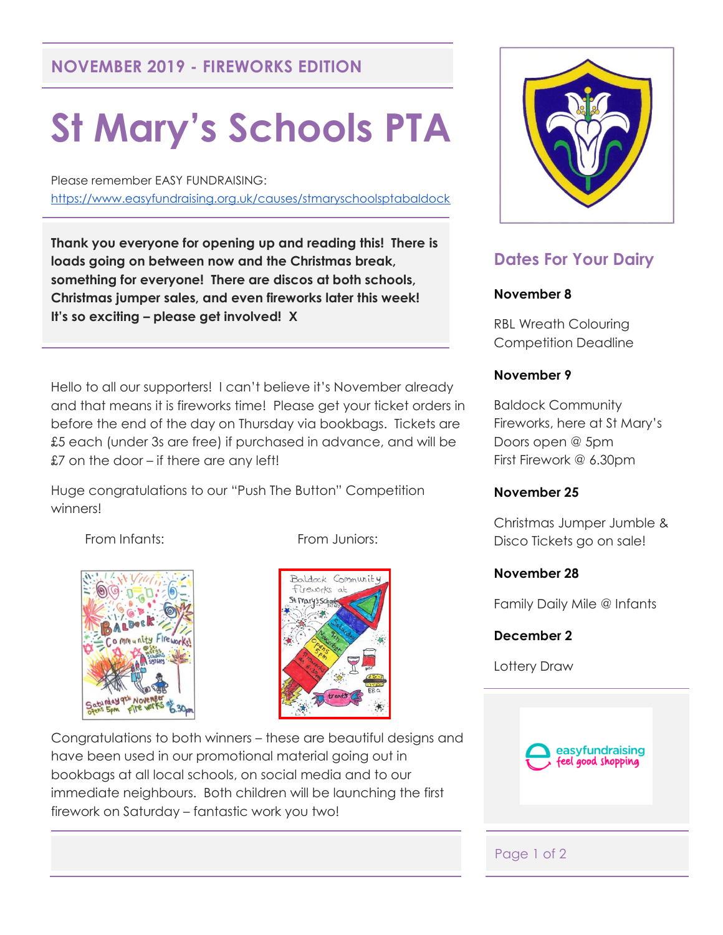## **NOVEMBER 2019 - FIREWORKS EDITION**

# **St Mary's Schools PTA**

Please remember EASY FUNDRAISING: <https://www.easyfundraising.org.uk/causes/stmaryschoolsptabaldock>

**Thank you everyone for opening up and reading this! There is loads going on between now and the Christmas break, something for everyone! There are discos at both schools, Christmas jumper sales, and even fireworks later this week! It's so exciting – please get involved! X**

Hello to all our supporters! I can't believe it's November already and that means it is fireworks time! Please get your ticket orders in before the end of the day on Thursday via bookbags. Tickets are £5 each (under 3s are free) if purchased in advance, and will be £7 on the door – if there are any left!

Huge congratulations to our "Push The Button" Competition winners!

From Infants: From Juniors:





Congratulations to both winners – these are beautiful designs and have been used in our promotional material going out in bookbags at all local schools, on social media and to our immediate neighbours. Both children will be launching the first firework on Saturday – fantastic work you two!



# **Dates For Your Dairy**

#### **November 8**

RBL Wreath Colouring Competition Deadline

#### **November 9**

Baldock Community Fireworks, here at St Mary's Doors open @ 5pm First Firework @ 6.30pm

#### **November 25**

Christmas Jumper Jumble & Disco Tickets go on sale!

### **November 28**

Family Daily Mile @ Infants

### **December 2**

Lottery Draw